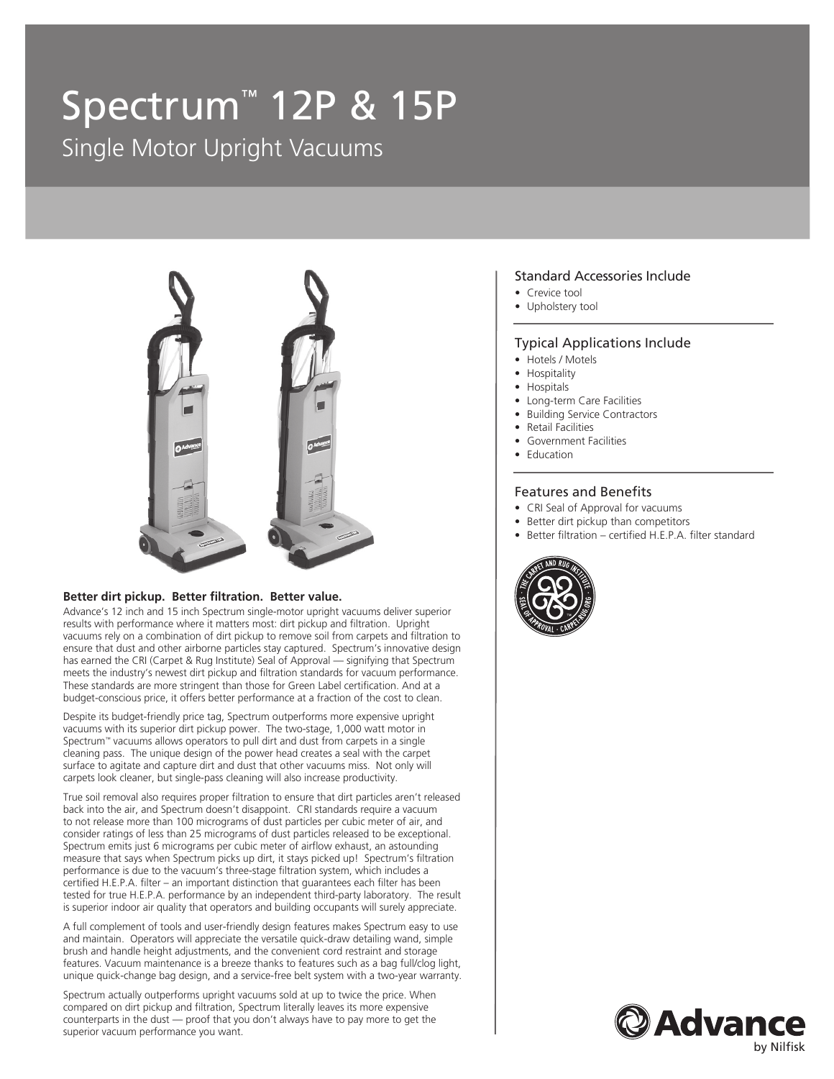# Spectrum™ 12P & 15P

Single Motor Upright Vacuums



#### **Better dirt pickup. Better filtration. Better value.**

Advance's 12 inch and 15 inch Spectrum single-motor upright vacuums deliver superior results with performance where it matters most: dirt pickup and filtration. Upright vacuums rely on a combination of dirt pickup to remove soil from carpets and filtration to ensure that dust and other airborne particles stay captured. Spectrum's innovative design has earned the CRI (Carpet & Rug Institute) Seal of Approval — signifying that Spectrum meets the industry's newest dirt pickup and filtration standards for vacuum performance. These standards are more stringent than those for Green Label certification. And at a budget-conscious price, it offers better performance at a fraction of the cost to clean.

Despite its budget-friendly price tag, Spectrum outperforms more expensive upright vacuums with its superior dirt pickup power. The two-stage, 1,000 watt motor in Spectrum™ vacuums allows operators to pull dirt and dust from carpets in a single cleaning pass. The unique design of the power head creates a seal with the carpet surface to agitate and capture dirt and dust that other vacuums miss. Not only will carpets look cleaner, but single-pass cleaning will also increase productivity.

True soil removal also requires proper filtration to ensure that dirt particles aren't released back into the air, and Spectrum doesn't disappoint. CRI standards require a vacuum to not release more than 100 micrograms of dust particles per cubic meter of air, and consider ratings of less than 25 micrograms of dust particles released to be exceptional. Spectrum emits just 6 micrograms per cubic meter of airflow exhaust, an astounding measure that says when Spectrum picks up dirt, it stays picked up! Spectrum's filtration performance is due to the vacuum's three-stage filtration system, which includes a certified H.E.P.A. filter – an important distinction that guarantees each filter has been tested for true H.E.P.A. performance by an independent third-party laboratory. The result is superior indoor air quality that operators and building occupants will surely appreciate.

A full complement of tools and user-friendly design features makes Spectrum easy to use and maintain. Operators will appreciate the versatile quick-draw detailing wand, simple brush and handle height adjustments, and the convenient cord restraint and storage features. Vacuum maintenance is a breeze thanks to features such as a bag full/clog light, unique quick-change bag design, and a service-free belt system with a two-year warranty.

Spectrum actually outperforms upright vacuums sold at up to twice the price. When compared on dirt pickup and filtration, Spectrum literally leaves its more expensive counterparts in the dust — proof that you don't always have to pay more to get the superior vacuum performance you want.

#### Standard Accessories Include

- Crevice tool
- Upholstery tool

#### Typical Applications Include

- Hotels / Motels
- Hospitality
- Hospitals
- Long-term Care Facilities
- **Building Service Contractors**
- Retail Facilities
- Government Facilities
- Education

#### Features and Benefits

- CRI Seal of Approval for vacuums
- Better dirt pickup than competitors
- Better filtration certified H.E.P.A. filter standard